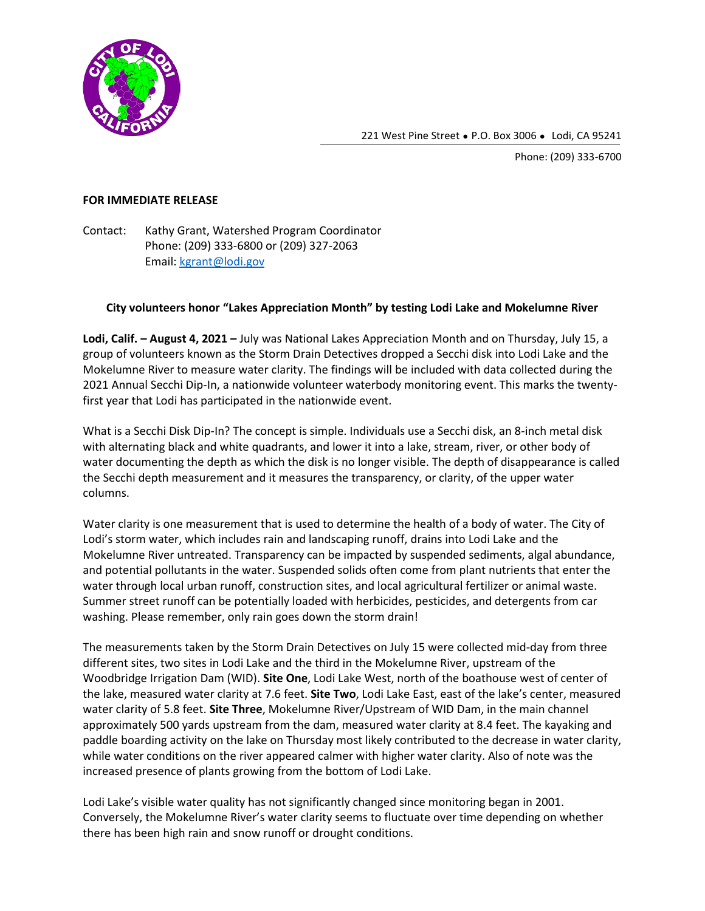

221 West Pine Street • P.O. Box 3006 • Lodi, CA 95241

Phone: (209) 333-6700

## **FOR IMMEDIATE RELEASE**

Contact: Kathy Grant, Watershed Program Coordinator Phone: (209) 333-6800 or (209) 327-2063 Email: [kgrant@lodi.gov](mailto:kgrant@lodi.gov)

## **City volunteers honor "Lakes Appreciation Month" by testing Lodi Lake and Mokelumne River**

**Lodi, Calif. – August 4, 2021 –** July was National Lakes Appreciation Month and on Thursday, July 15, a group of volunteers known as the Storm Drain Detectives dropped a Secchi disk into Lodi Lake and the Mokelumne River to measure water clarity. The findings will be included with data collected during the 2021 Annual Secchi Dip-In, a nationwide volunteer waterbody monitoring event. This marks the twentyfirst year that Lodi has participated in the nationwide event.

What is a Secchi Disk Dip-In? The concept is simple. Individuals use a Secchi disk, an 8-inch metal disk with alternating black and white quadrants, and lower it into a lake, stream, river, or other body of water documenting the depth as which the disk is no longer visible. The depth of disappearance is called the Secchi depth measurement and it measures the transparency, or clarity, of the upper water columns.

Water clarity is one measurement that is used to determine the health of a body of water. The City of Lodi's storm water, which includes rain and landscaping runoff, drains into Lodi Lake and the Mokelumne River untreated. Transparency can be impacted by suspended sediments, algal abundance, and potential pollutants in the water. Suspended solids often come from plant nutrients that enter the water through local urban runoff, construction sites, and local agricultural fertilizer or animal waste. Summer street runoff can be potentially loaded with herbicides, pesticides, and detergents from car washing. Please remember, only rain goes down the storm drain!

The measurements taken by the Storm Drain Detectives on July 15 were collected mid-day from three different sites, two sites in Lodi Lake and the third in the Mokelumne River, upstream of the Woodbridge Irrigation Dam (WID). **Site One**, Lodi Lake West, north of the boathouse west of center of the lake, measured water clarity at 7.6 feet. **Site Two**, Lodi Lake East, east of the lake's center, measured water clarity of 5.8 feet. **Site Three**, Mokelumne River/Upstream of WID Dam, in the main channel approximately 500 yards upstream from the dam, measured water clarity at 8.4 feet. The kayaking and paddle boarding activity on the lake on Thursday most likely contributed to the decrease in water clarity, while water conditions on the river appeared calmer with higher water clarity. Also of note was the increased presence of plants growing from the bottom of Lodi Lake.

Lodi Lake's visible water quality has not significantly changed since monitoring began in 2001. Conversely, the Mokelumne River's water clarity seems to fluctuate over time depending on whether there has been high rain and snow runoff or drought conditions.